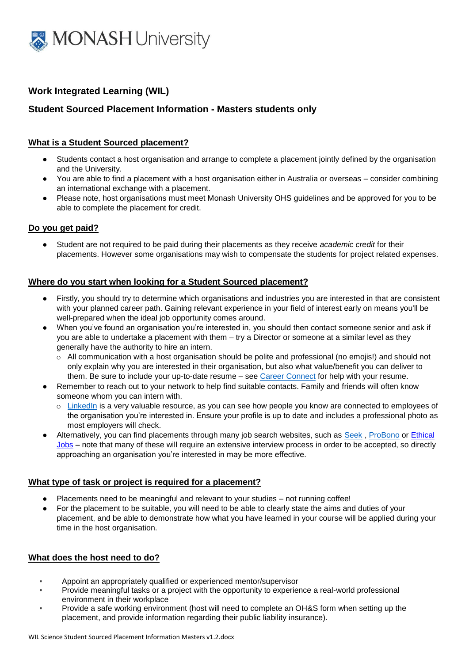

# **Work Integrated Learning (WIL)**

# **Student Sourced Placement Information - Masters students only**

# **What is a Student Sourced placement?**

- Students contact a host organisation and arrange to complete a placement jointly defined by the organisation and the University.
- You are able to find a placement with a host organisation either in Australia or overseas consider combining an international exchange with a placement.
- Please note, host organisations must meet Monash University OHS guidelines and be approved for you to be able to complete the placement for credit.

### **Do you get paid?**

● Student are not required to be paid during their placements as they receive *academic credit* for their placements. However some organisations may wish to compensate the students for project related expenses.

## **Where do you start when looking for a Student Sourced placement?**

- Firstly, you should try to determine which organisations and industries you are interested in that are consistent with your planned career path. Gaining relevant experience in your field of interest early on means you'll be well-prepared when the ideal job opportunity comes around.
- When you've found an organisation you're interested in, you should then contact someone senior and ask if you are able to undertake a placement with them – try a Director or someone at a similar level as they generally have the authority to hire an intern.
	- o All communication with a host organisation should be polite and professional (no emojis!) and should not only explain why you are interested in their organisation, but also what value/benefit you can deliver to them. Be sure to include your up-to-date resume – see [Career Connect](http://www.monash.edu/career-connect) for help with your resume.
- Remember to reach out to your network to help find suitable contacts. Family and friends will often know someone whom you can intern with.
	- o [LinkedIn](https://www.linkedin.com/) is a very valuable resource, as you can see how people you know are connected to employees of the organisation you're interested in. Ensure your profile is up to date and includes a professional photo as most employers will check.
- Alternatively, you can find placements through many job search websites, such as [Seek](https://www.seek.com.au/), [ProBono](https://probonoaustralia.com.au/) or Ethical [Jobs](http://www.ethicaljobs.com.au/) – note that many of these will require an extensive interview process in order to be accepted, so directly approaching an organisation you're interested in may be more effective.

### **What type of task or project is required for a placement?**

- Placements need to be meaningful and relevant to your studies not running coffee!
- For the placement to be suitable, you will need to be able to clearly state the aims and duties of your placement, and be able to demonstrate how what you have learned in your course will be applied during your time in the host organisation.

### **What does the host need to do?**

- Appoint an appropriately qualified or experienced mentor/supervisor
- Provide meaningful tasks or a project with the opportunity to experience a real-world professional environment in their workplace
- Provide a safe working environment (host will need to complete an OH&S form when setting up the placement, and provide information regarding their public liability insurance).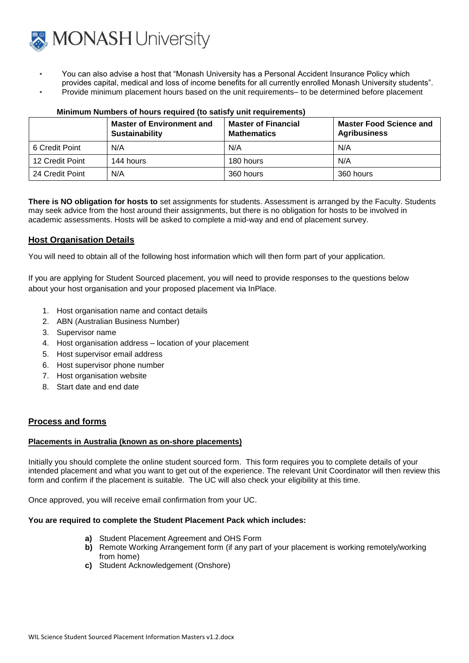

- You can also advise a host that "Monash University has a Personal Accident Insurance Policy which provides capital, medical and loss of income benefits for all currently enrolled Monash University students".
- Provide minimum placement hours based on the unit requirements– to be determined before placement

|                 | <b>Master of Environment and</b><br>Sustainability | <b>Master of Financial</b><br><b>Mathematics</b> | <b>Master Food Science and</b><br><b>Agribusiness</b> |
|-----------------|----------------------------------------------------|--------------------------------------------------|-------------------------------------------------------|
| 6 Credit Point  | N/A                                                | N/A                                              | N/A                                                   |
| 12 Credit Point | 144 hours                                          | 180 hours                                        | N/A                                                   |
| 24 Credit Point | N/A                                                | 360 hours                                        | 360 hours                                             |

### **Minimum Numbers of hours required (to satisfy unit requirements)**

**There is NO obligation for hosts to** set assignments for students. Assessment is arranged by the Faculty. Students may seek advice from the host around their assignments, but there is no obligation for hosts to be involved in academic assessments. Hosts will be asked to complete a mid-way and end of placement survey.

## **Host Organisation Details**

You will need to obtain all of the following host information which will then form part of your application.

If you are applying for Student Sourced placement, you will need to provide responses to the questions below about your host organisation and your proposed placement via InPlace.

- 1. Host organisation name and contact details
- 2. ABN (Australian Business Number)
- 3. Supervisor name
- 4. Host organisation address location of your placement
- 5. Host supervisor email address
- 6. Host supervisor phone number
- 7. Host organisation website
- 8. Start date and end date

### **Process and forms**

#### **Placements in Australia (known as on-shore placements)**

Initially you should complete the online student sourced form. This form requires you to complete details of your intended placement and what you want to get out of the experience. The relevant Unit Coordinator will then review this form and confirm if the placement is suitable. The UC will also check your eligibility at this time.

Once approved, you will receive email confirmation from your UC.

#### **You are required to complete the Student Placement Pack which includes:**

- **a)** Student Placement Agreement and OHS Form
- **b)** Remote Working Arrangement form (if any part of your placement is working remotely/working from home)
- **c)** Student Acknowledgement (Onshore)